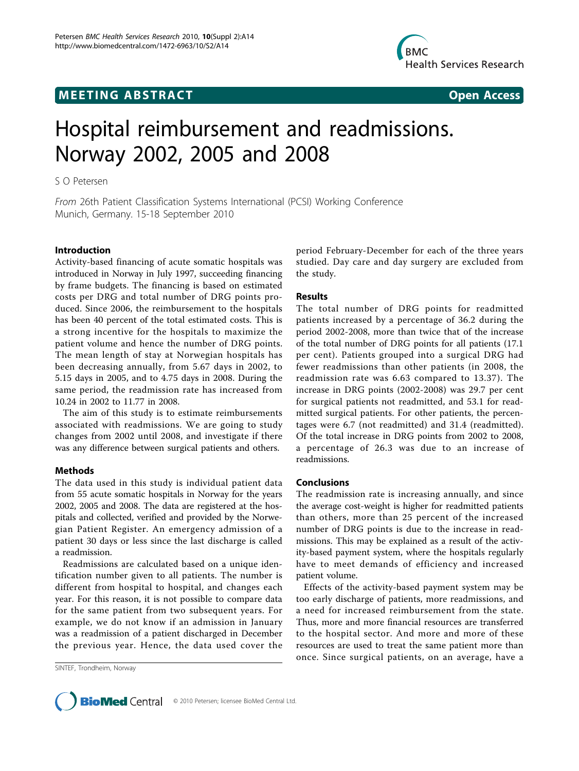## **MEETING ABSTRACT CONSUMING ABSTRACT**



# Hospital reimbursement and readmissions. Norway 2002, 2005 and 2008

S O Petersen

From 26th Patient Classification Systems International (PCSI) Working Conference Munich, Germany. 15-18 September 2010

### Introduction

Activity-based financing of acute somatic hospitals was introduced in Norway in July 1997, succeeding financing by frame budgets. The financing is based on estimated costs per DRG and total number of DRG points produced. Since 2006, the reimbursement to the hospitals has been 40 percent of the total estimated costs. This is a strong incentive for the hospitals to maximize the patient volume and hence the number of DRG points. The mean length of stay at Norwegian hospitals has been decreasing annually, from 5.67 days in 2002, to 5.15 days in 2005, and to 4.75 days in 2008. During the same period, the readmission rate has increased from 10.24 in 2002 to 11.77 in 2008.

The aim of this study is to estimate reimbursements associated with readmissions. We are going to study changes from 2002 until 2008, and investigate if there was any difference between surgical patients and others.

#### Methods

The data used in this study is individual patient data from 55 acute somatic hospitals in Norway for the years 2002, 2005 and 2008. The data are registered at the hospitals and collected, verified and provided by the Norwegian Patient Register. An emergency admission of a patient 30 days or less since the last discharge is called a readmission.

Readmissions are calculated based on a unique identification number given to all patients. The number is different from hospital to hospital, and changes each year. For this reason, it is not possible to compare data for the same patient from two subsequent years. For example, we do not know if an admission in January was a readmission of a patient discharged in December the previous year. Hence, the data used cover the

SINTEF, Trondheim, Norway

period February-December for each of the three years studied. Day care and day surgery are excluded from the study.

#### Results

The total number of DRG points for readmitted patients increased by a percentage of 36.2 during the period 2002-2008, more than twice that of the increase of the total number of DRG points for all patients (17.1 per cent). Patients grouped into a surgical DRG had fewer readmissions than other patients (in 2008, the readmission rate was 6.63 compared to 13.37). The increase in DRG points (2002-2008) was 29.7 per cent for surgical patients not readmitted, and 53.1 for readmitted surgical patients. For other patients, the percentages were 6.7 (not readmitted) and 31.4 (readmitted). Of the total increase in DRG points from 2002 to 2008, a percentage of 26.3 was due to an increase of readmissions.

#### Conclusions

The readmission rate is increasing annually, and since the average cost-weight is higher for readmitted patients than others, more than 25 percent of the increased number of DRG points is due to the increase in readmissions. This may be explained as a result of the activity-based payment system, where the hospitals regularly have to meet demands of efficiency and increased patient volume.

Effects of the activity-based payment system may be too early discharge of patients, more readmissions, and a need for increased reimbursement from the state. Thus, more and more financial resources are transferred to the hospital sector. And more and more of these resources are used to treat the same patient more than once. Since surgical patients, on an average, have a